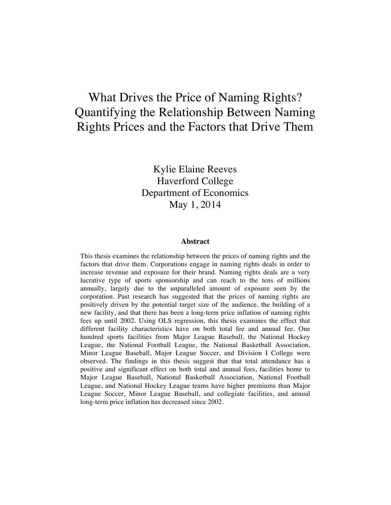# What Drives the Price of Naming Rights? Quantifying the Relationship Between Naming Rights Prices and the Factors that Drive Them

Kylie Elaine Reeves Haverford College Department of Economics May 1, 2014

#### **Abstract**

This thesis examines the relationship between the prices of naming rights and the factors that drive them. Corporations engage in naming rights deals in order to increase revenue and exposure for their brand. Naming rights deals are a very lucrative type of sports sponsorship and can reach to the tens of millions annually, largely due to the unparalleled amount of exposure seen by the corporation. Past research has suggested that the prices of naming rights are positively driven by the potential target size of the audience, the building of a new facility, and that there has been a long-term price inflation of naming rights fees up until 2002. Using OLS regression, this thesis examines the effect that different facility characteristics have on both total fee and annual fee. One hundred sports facilities from Major League Baseball, the National Hockey League, the National Football League, the National Basketball Association, Minor League Baseball, Major League Soccer, and Division I College were observed. The findings in this thesis suggest that that total attendance has a positive and significant effect on both total and annual fees, facilities home to Major League Baseball, National Basketball Association, National Football League, and National Hockey League teams have higher premiums than Major League Soccer, Minor League Baseball, and collegiate facilities, and annual long-term price inflation has decreased since 2002.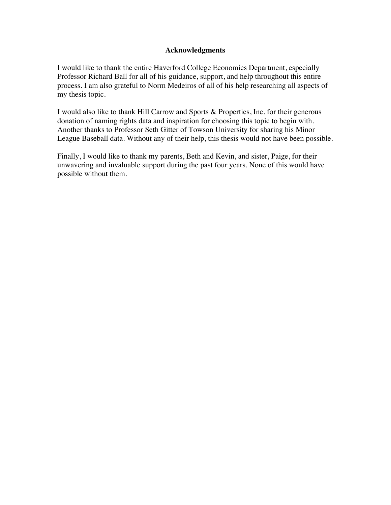#### **Acknowledgments**

I would like to thank the entire Haverford College Economics Department, especially Professor Richard Ball for all of his guidance, support, and help throughout this entire process. I am also grateful to Norm Medeiros of all of his help researching all aspects of my thesis topic.

I would also like to thank Hill Carrow and Sports & Properties, Inc. for their generous donation of naming rights data and inspiration for choosing this topic to begin with. Another thanks to Professor Seth Gitter of Towson University for sharing his Minor League Baseball data. Without any of their help, this thesis would not have been possible.

Finally, I would like to thank my parents, Beth and Kevin, and sister, Paige, for their unwavering and invaluable support during the past four years. None of this would have possible without them.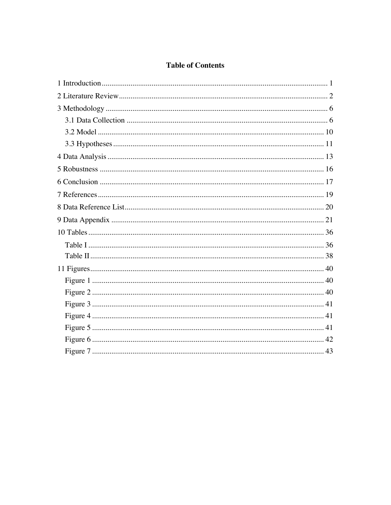## **Table of Contents**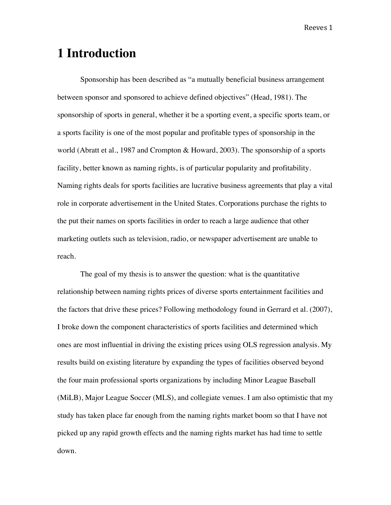# **1 Introduction**

Sponsorship has been described as "a mutually beneficial business arrangement between sponsor and sponsored to achieve defined objectives" (Head, 1981). The sponsorship of sports in general, whether it be a sporting event, a specific sports team, or a sports facility is one of the most popular and profitable types of sponsorship in the world (Abratt et al., 1987 and Crompton & Howard, 2003). The sponsorship of a sports facility, better known as naming rights, is of particular popularity and profitability. Naming rights deals for sports facilities are lucrative business agreements that play a vital role in corporate advertisement in the United States. Corporations purchase the rights to the put their names on sports facilities in order to reach a large audience that other marketing outlets such as television, radio, or newspaper advertisement are unable to reach.

The goal of my thesis is to answer the question: what is the quantitative relationship between naming rights prices of diverse sports entertainment facilities and the factors that drive these prices? Following methodology found in Gerrard et al. (2007), I broke down the component characteristics of sports facilities and determined which ones are most influential in driving the existing prices using OLS regression analysis. My results build on existing literature by expanding the types of facilities observed beyond the four main professional sports organizations by including Minor League Baseball (MiLB), Major League Soccer (MLS), and collegiate venues. I am also optimistic that my study has taken place far enough from the naming rights market boom so that I have not picked up any rapid growth effects and the naming rights market has had time to settle down.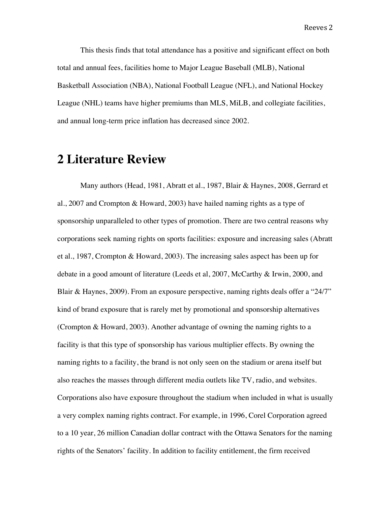This thesis finds that total attendance has a positive and significant effect on both total and annual fees, facilities home to Major League Baseball (MLB), National Basketball Association (NBA), National Football League (NFL), and National Hockey League (NHL) teams have higher premiums than MLS, MiLB, and collegiate facilities, and annual long-term price inflation has decreased since 2002.

# **2 Literature Review**

Many authors (Head, 1981, Abratt et al., 1987, Blair & Haynes, 2008, Gerrard et al., 2007 and Crompton & Howard, 2003) have hailed naming rights as a type of sponsorship unparalleled to other types of promotion. There are two central reasons why corporations seek naming rights on sports facilities: exposure and increasing sales (Abratt et al., 1987, Crompton & Howard, 2003). The increasing sales aspect has been up for debate in a good amount of literature (Leeds et al, 2007, McCarthy & Irwin, 2000, and Blair & Haynes, 2009). From an exposure perspective, naming rights deals offer a "24/7" kind of brand exposure that is rarely met by promotional and sponsorship alternatives (Crompton & Howard, 2003). Another advantage of owning the naming rights to a facility is that this type of sponsorship has various multiplier effects. By owning the naming rights to a facility, the brand is not only seen on the stadium or arena itself but also reaches the masses through different media outlets like TV, radio, and websites. Corporations also have exposure throughout the stadium when included in what is usually a very complex naming rights contract. For example, in 1996, Corel Corporation agreed to a 10 year, 26 million Canadian dollar contract with the Ottawa Senators for the naming rights of the Senators' facility. In addition to facility entitlement, the firm received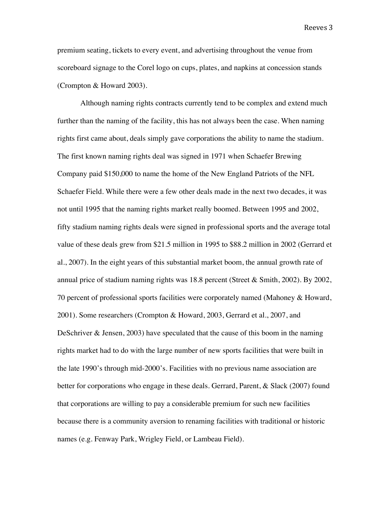premium seating, tickets to every event, and advertising throughout the venue from scoreboard signage to the Corel logo on cups, plates, and napkins at concession stands (Crompton & Howard 2003).

Although naming rights contracts currently tend to be complex and extend much further than the naming of the facility, this has not always been the case. When naming rights first came about, deals simply gave corporations the ability to name the stadium. The first known naming rights deal was signed in 1971 when Schaefer Brewing Company paid \$150,000 to name the home of the New England Patriots of the NFL Schaefer Field. While there were a few other deals made in the next two decades, it was not until 1995 that the naming rights market really boomed. Between 1995 and 2002, fifty stadium naming rights deals were signed in professional sports and the average total value of these deals grew from \$21.5 million in 1995 to \$88.2 million in 2002 (Gerrard et al., 2007). In the eight years of this substantial market boom, the annual growth rate of annual price of stadium naming rights was 18.8 percent (Street & Smith, 2002). By 2002, 70 percent of professional sports facilities were corporately named (Mahoney & Howard, 2001). Some researchers (Crompton & Howard, 2003, Gerrard et al., 2007, and DeSchriver & Jensen, 2003) have speculated that the cause of this boom in the naming rights market had to do with the large number of new sports facilities that were built in the late 1990's through mid-2000's. Facilities with no previous name association are better for corporations who engage in these deals. Gerrard, Parent, & Slack (2007) found that corporations are willing to pay a considerable premium for such new facilities because there is a community aversion to renaming facilities with traditional or historic names (e.g. Fenway Park, Wrigley Field, or Lambeau Field).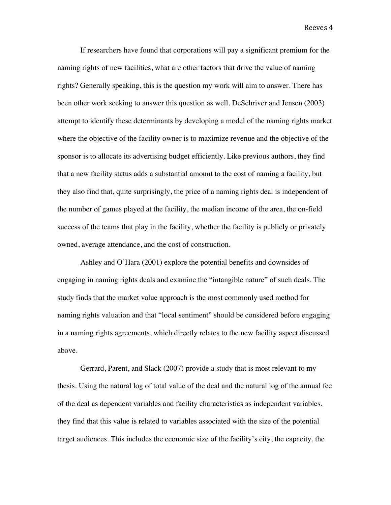If researchers have found that corporations will pay a significant premium for the naming rights of new facilities, what are other factors that drive the value of naming rights? Generally speaking, this is the question my work will aim to answer. There has been other work seeking to answer this question as well. DeSchriver and Jensen (2003) attempt to identify these determinants by developing a model of the naming rights market where the objective of the facility owner is to maximize revenue and the objective of the sponsor is to allocate its advertising budget efficiently. Like previous authors, they find that a new facility status adds a substantial amount to the cost of naming a facility, but they also find that, quite surprisingly, the price of a naming rights deal is independent of the number of games played at the facility, the median income of the area, the on-field success of the teams that play in the facility, whether the facility is publicly or privately owned, average attendance, and the cost of construction.

Ashley and O'Hara (2001) explore the potential benefits and downsides of engaging in naming rights deals and examine the "intangible nature" of such deals. The study finds that the market value approach is the most commonly used method for naming rights valuation and that "local sentiment" should be considered before engaging in a naming rights agreements, which directly relates to the new facility aspect discussed above.

Gerrard, Parent, and Slack (2007) provide a study that is most relevant to my thesis. Using the natural log of total value of the deal and the natural log of the annual fee of the deal as dependent variables and facility characteristics as independent variables, they find that this value is related to variables associated with the size of the potential target audiences. This includes the economic size of the facility's city, the capacity, the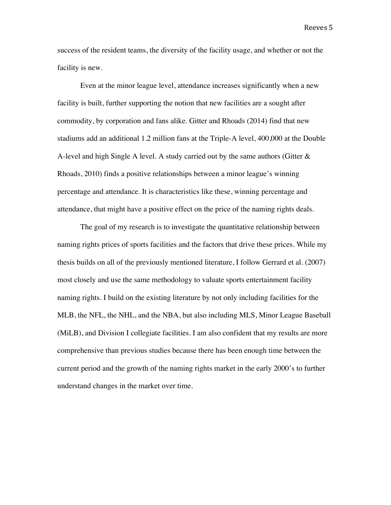success of the resident teams, the diversity of the facility usage, and whether or not the facility is new.

Even at the minor league level, attendance increases significantly when a new facility is built, further supporting the notion that new facilities are a sought after commodity, by corporation and fans alike. Gitter and Rhoads (2014) find that new stadiums add an additional 1.2 million fans at the Triple-A level, 400,000 at the Double A-level and high Single A level. A study carried out by the same authors (Gitter  $\&$ Rhoads, 2010) finds a positive relationships between a minor league's winning percentage and attendance. It is characteristics like these, winning percentage and attendance, that might have a positive effect on the price of the naming rights deals.

The goal of my research is to investigate the quantitative relationship between naming rights prices of sports facilities and the factors that drive these prices. While my thesis builds on all of the previously mentioned literature, I follow Gerrard et al. (2007) most closely and use the same methodology to valuate sports entertainment facility naming rights. I build on the existing literature by not only including facilities for the MLB, the NFL, the NHL, and the NBA, but also including MLS, Minor League Baseball (MiLB), and Division I collegiate facilities. I am also confident that my results are more comprehensive than previous studies because there has been enough time between the current period and the growth of the naming rights market in the early 2000's to further understand changes in the market over time.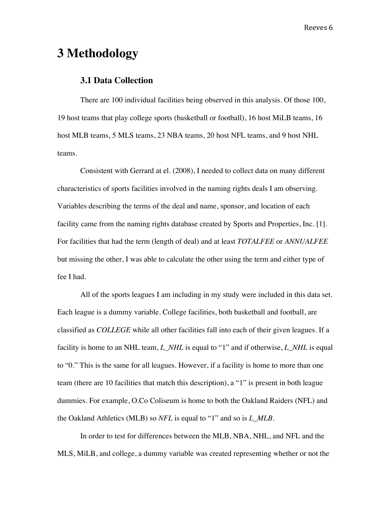# **3 Methodology**

#### **3.1 Data Collection**

There are 100 individual facilities being observed in this analysis. Of those 100, 19 host teams that play college sports (basketball or football), 16 host MiLB teams, 16 host MLB teams, 5 MLS teams, 23 NBA teams, 20 host NFL teams, and 9 host NHL teams.

Consistent with Gerrard at el. (2008), I needed to collect data on many different characteristics of sports facilities involved in the naming rights deals I am observing. Variables describing the terms of the deal and name, sponsor, and location of each facility came from the naming rights database created by Sports and Properties, Inc. [1]. For facilities that had the term (length of deal) and at least *TOTALFEE* or *ANNUALFEE* but missing the other, I was able to calculate the other using the term and either type of fee I had.

All of the sports leagues I am including in my study were included in this data set. Each league is a dummy variable. College facilities, both basketball and football, are classified as *COLLEGE* while all other facilities fall into each of their given leagues. If a facility is home to an NHL team, *L\_NHL* is equal to "1" and if otherwise, *L\_NHL* is equal to "0." This is the same for all leagues. However, if a facility is home to more than one team (there are 10 facilities that match this description), a "1" is present in both league dummies. For example, O.Co Coliseum is home to both the Oakland Raiders (NFL) and the Oakland Athletics (MLB) so *NFL* is equal to "1" and so is *L\_MLB*.

In order to test for differences between the MLB, NBA, NHL, and NFL and the MLS, MiLB, and college, a dummy variable was created representing whether or not the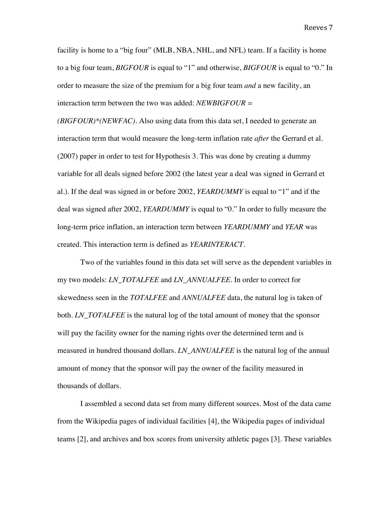facility is home to a "big four" (MLB, NBA, NHL, and NFL) team. If a facility is home to a big four team, *BIGFOUR* is equal to "1" and otherwise, *BIGFOUR* is equal to "0." In order to measure the size of the premium for a big four team *and* a new facility, an interaction term between the two was added: *NEWBIGFOUR =* 

*(BIGFOUR)\*(NEWFAC)*. Also using data from this data set, I needed to generate an interaction term that would measure the long-term inflation rate *after* the Gerrard et al. (2007) paper in order to test for Hypothesis 3. This was done by creating a dummy variable for all deals signed before 2002 (the latest year a deal was signed in Gerrard et al.). If the deal was signed in or before 2002, *YEARDUMMY* is equal to "1" and if the deal was signed after 2002, *YEARDUMMY* is equal to "0." In order to fully measure the long-term price inflation, an interaction term between *YEARDUMMY* and *YEAR* was created. This interaction term is defined as *YEARINTERACT.* 

Two of the variables found in this data set will serve as the dependent variables in my two models: *LN\_TOTALFEE* and *LN\_ANNUALFEE*. In order to correct for skewedness seen in the *TOTALFEE* and *ANNUALFEE* data, the natural log is taken of both. *LN\_TOTALFEE* is the natural log of the total amount of money that the sponsor will pay the facility owner for the naming rights over the determined term and is measured in hundred thousand dollars. *LN\_ANNUALFEE* is the natural log of the annual amount of money that the sponsor will pay the owner of the facility measured in thousands of dollars.

I assembled a second data set from many different sources. Most of the data came from the Wikipedia pages of individual facilities [4], the Wikipedia pages of individual teams [2], and archives and box scores from university athletic pages [3]. These variables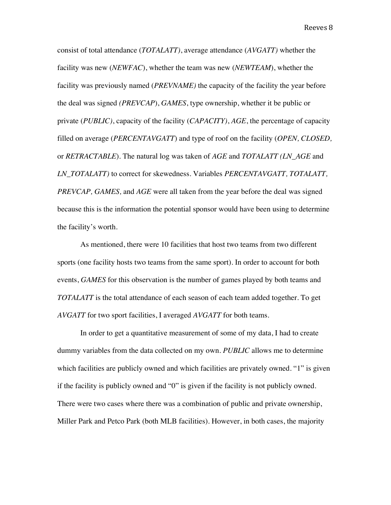consist of total attendance (*TOTALATT)*, average attendance (*AVGATT)* whether the facility was new (*NEWFAC*), whether the team was new (*NEWTEAM*), whether the facility was previously named (*PREVNAME)* the capacity of the facility the year before the deal was signed *(PREVCAP*), *GAMES*, type ownership, whether it be public or private (*PUBLIC)*, capacity of the facility (*CAPACITY)*, *AGE*, the percentage of capacity filled on average (*PERCENTAVGATT*) and type of roof on the facility (*OPEN, CLOSED,*  or *RETRACTABLE*). The natural log was taken of *AGE* and *TOTALATT (LN\_AGE* and *LN\_TOTALATT)* to correct for skewedness. Variables *PERCENTAVGATT, TOTALATT, PREVCAP, GAMES,* and *AGE* were all taken from the year before the deal was signed because this is the information the potential sponsor would have been using to determine the facility's worth.

As mentioned, there were 10 facilities that host two teams from two different sports (one facility hosts two teams from the same sport). In order to account for both events, *GAMES* for this observation is the number of games played by both teams and *TOTALATT* is the total attendance of each season of each team added together. To get *AVGATT* for two sport facilities, I averaged *AVGATT* for both teams.

In order to get a quantitative measurement of some of my data, I had to create dummy variables from the data collected on my own. *PUBLIC* allows me to determine which facilities are publicly owned and which facilities are privately owned. "1" is given if the facility is publicly owned and "0" is given if the facility is not publicly owned. There were two cases where there was a combination of public and private ownership, Miller Park and Petco Park (both MLB facilities). However, in both cases, the majority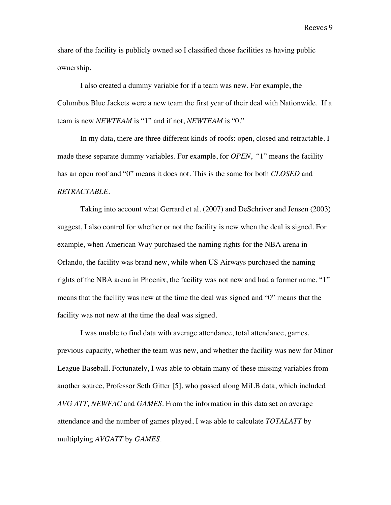share of the facility is publicly owned so I classified those facilities as having public ownership.

I also created a dummy variable for if a team was new. For example, the Columbus Blue Jackets were a new team the first year of their deal with Nationwide. If a team is new *NEWTEAM* is "1" and if not, *NEWTEAM* is "0."

In my data, there are three different kinds of roofs: open, closed and retractable. I made these separate dummy variables. For example, for *OPEN*, "1" means the facility has an open roof and "0" means it does not. This is the same for both *CLOSED* and *RETRACTABLE*.

Taking into account what Gerrard et al. (2007) and DeSchriver and Jensen (2003) suggest, I also control for whether or not the facility is new when the deal is signed. For example, when American Way purchased the naming rights for the NBA arena in Orlando, the facility was brand new, while when US Airways purchased the naming rights of the NBA arena in Phoenix, the facility was not new and had a former name. "1" means that the facility was new at the time the deal was signed and "0" means that the facility was not new at the time the deal was signed.

I was unable to find data with average attendance, total attendance, games, previous capacity, whether the team was new, and whether the facility was new for Minor League Baseball. Fortunately, I was able to obtain many of these missing variables from another source, Professor Seth Gitter [5], who passed along MiLB data, which included *AVG ATT, NEWFAC* and *GAMES*. From the information in this data set on average attendance and the number of games played, I was able to calculate *TOTALATT* by multiplying *AVGATT* by *GAMES*.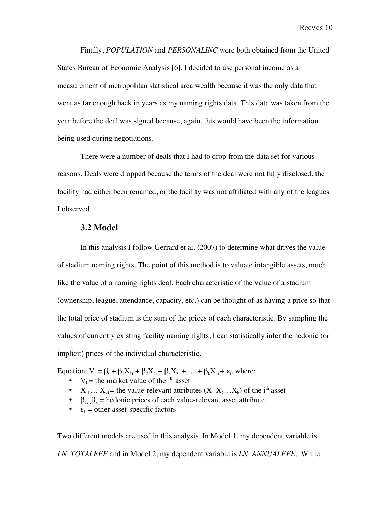Finally, *POPULATION* and *PERSONALINC* were both obtained from the United States Bureau of Economic Analysis [6]. I decided to use personal income as a measurement of metropolitan statistical area wealth because it was the only data that went as far enough back in years as my naming rights data. This data was taken from the year before the deal was signed because, again, this would have been the information being used during negotiations.

There were a number of deals that I had to drop from the data set for various reasons. Deals were dropped because the terms of the deal were not fully disclosed, the facility had either been renamed, or the facility was not affiliated with any of the leagues I observed.

#### **3.2 Model**

In this analysis I follow Gerrard et al. (2007) to determine what drives the value of stadium naming rights. The point of this method is to valuate intangible assets, much like the value of a naming rights deal. Each characteristic of the value of a stadium (ownership, league, attendance, capacity, etc.) can be thought of as having a price so that the total price of stadium is the sum of the prices of each characteristic. By sampling the values of currently existing facility naming rights, I can statistically infer the hedonic (or implicit) prices of the individual characteristic.

Equation:  $V_i = \beta_0 + \beta_1 X_{1i} + \beta_2 X_{2i} + \beta_3 X_{3i} + \dots + \beta_k X_{ki} + \varepsilon_i$ , where:

- $V_i$  = the market value of the i<sup>th</sup> asset
- $X_{1i}$ …  $X_{ki}$  = the value-relevant attributes  $(X_1, X_2, \ldots, X_k)$  of the i<sup>th</sup> asset
- $\beta_1 \beta_k$  = hedonic prices of each value-relevant asset attribute
- $\varepsilon_i$  = other asset-specific factors

Two different models are used in this analysis. In Model 1, my dependent variable is *LN\_TOTALFEE* and in Model 2, my dependent variable is *LN*\_*ANNUALFEE.* While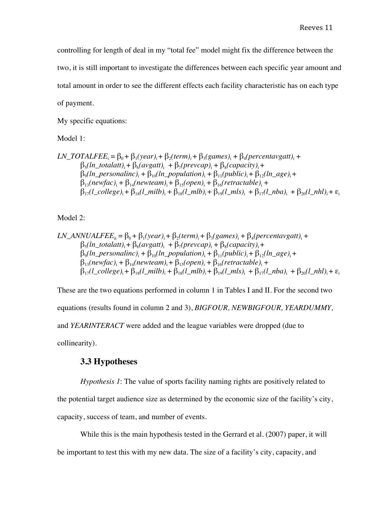controlling for length of deal in my "total fee" model might fix the difference between the two, it is still important to investigate the differences between each specific year amount and total amount in order to see the different effects each facility characteristic has on each type of payment.

My specific equations:

Model 1:

$$
LN\_TOTALFEE_{i} = \beta_{0} + \beta_{1}(year)_{i} + \beta_{2}(term)_{i} + \beta_{3}(games)_{i} + \beta_{4}(percentavgatt)_{i} + \beta_{5}(ln\_totalatt)_{i} + \beta_{6}(avgatt)_{i} + \beta_{7}(prevcap)_{i} + \beta_{8}(capacity)_{i} + \beta_{9}(ln\_personalinc)_{i} + \beta_{10}(ln\_population)_{i} + \beta_{11}(public)_{i} + \beta_{12}(ln\_age)_{i} + \beta_{13}(newfac)_{i} + \beta_{14}(newteam)_{i} + \beta_{15}(open)_{i} + \beta_{16}(retractable)_{i} + \beta_{17}(l\_college)_{i} + \beta_{18}(l\_milb)_{i} + \beta_{18}(l\_mlb)_{i} + \beta_{19}(l\_mls)_{i} + \beta_{17}(l\_nba)_{i} + \beta_{20}(l\_nhl)_{i} + \epsilon_{10}(l\_mls)_{i} + \epsilon_{11}(l\_nba)_{i} + \epsilon_{12}(l\_nba)_{i} + \epsilon_{13}(l\_nha)_{i} + \epsilon_{14}(newtem)_{i} + \epsilon_{15}(l\_nba)_{i} + \epsilon_{16}(l\_nba)_{i} + \epsilon_{17}(l\_nba)_{i} + \epsilon_{18}(l\_nha)_{i} + \epsilon_{19}(l\_nha)_{i} + \epsilon_{10}(l\_nba)_{i} + \epsilon_{10}(l\_nba)_{i} + \epsilon_{11}(l\_nba)_{i} + \epsilon_{12}(l\_nba)_{i} + \epsilon_{13}(l\_nba)_{i} + \epsilon_{14}(l\_nba)_{i} + \epsilon_{15}(l\_nba)_{i} + \epsilon_{16}(l\_nba)_{i} + \epsilon_{17}(l\_nba)_{i} + \epsilon_{18}(l\_nba)_{i} + \epsilon_{19}(l\_nba)_{i} + \epsilon_{10}(l\_nba)_{i} + \epsilon_{11}(l\_nba)_{i} + \epsilon_{10}(l\_nba)_{i} + \epsilon_{11}(l\_nba)_{i} + \epsilon_{12}(l\_nba)_{i} + \epsilon_{13}(l\_nba)_{i} + \epsilon_{14}(l\_nba)_{i} + \epsilon_{15}(l\_nba)_{i} + \epsilon_{16}(l\_nba)_{i} + \epsilon_{
$$

Model 2:

$$
LN\_ANNUALFEE_{ii} = \beta_0 + \beta_1(year)_i + \beta_2(term)_i + \beta_3(games)_i + \beta_4(percentavgatt)_i + \n\beta_5(ln\_totalatt)_i + \beta_6(avgatt)_i + \beta_7(prevcap)_i + \beta_8(capacity)_i + \n\beta_9(ln\_personalinc)_i + \beta_{10}(ln\_population)_i + \beta_{11}(public)_i + \beta_{12}(ln\_age)_i + \n\beta_{13}(newfac)_i + \beta_{14}(newteam)_i + \beta_{15}(open)_i + \beta_{16}(retractable)_i + \n\beta_{17}(l\_college)_i + \beta_{18}(l\_milb)_i + \beta_{18}(l\_mlb)_i + \beta_{19}(l\_mls)_i + \beta_{17}(l\_nba)_i + \beta_{20}(l\_nhl)_i + \varepsilon_i
$$

These are the two equations performed in column 1 in Tables I and II. For the second two equations (results found in column 2 and 3), *BIGFOUR, NEWBIGFOUR, YEARDUMMY,*  and *YEARINTERACT* were added and the league variables were dropped (due to collinearity).

#### **3.3 Hypotheses**

*Hypothesis 1*: The value of sports facility naming rights are positively related to the potential target audience size as determined by the economic size of the facility's city, capacity, success of team, and number of events.

While this is the main hypothesis tested in the Gerrard et al. (2007) paper, it will be important to test this with my new data. The size of a facility's city, capacity, and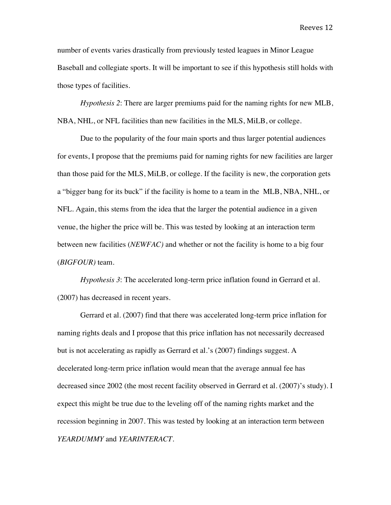number of events varies drastically from previously tested leagues in Minor League Baseball and collegiate sports. It will be important to see if this hypothesis still holds with those types of facilities.

*Hypothesis 2*: There are larger premiums paid for the naming rights for new MLB, NBA, NHL, or NFL facilities than new facilities in the MLS, MiLB, or college.

Due to the popularity of the four main sports and thus larger potential audiences for events, I propose that the premiums paid for naming rights for new facilities are larger than those paid for the MLS, MiLB, or college. If the facility is new, the corporation gets a "bigger bang for its buck" if the facility is home to a team in the MLB, NBA, NHL, or NFL. Again, this stems from the idea that the larger the potential audience in a given venue, the higher the price will be. This was tested by looking at an interaction term between new facilities (*NEWFAC)* and whether or not the facility is home to a big four (*BIGFOUR)* team.

*Hypothesis 3*: The accelerated long-term price inflation found in Gerrard et al. (2007) has decreased in recent years.

Gerrard et al. (2007) find that there was accelerated long-term price inflation for naming rights deals and I propose that this price inflation has not necessarily decreased but is not accelerating as rapidly as Gerrard et al.'s (2007) findings suggest. A decelerated long-term price inflation would mean that the average annual fee has decreased since 2002 (the most recent facility observed in Gerrard et al. (2007)'s study). I expect this might be true due to the leveling off of the naming rights market and the recession beginning in 2007. This was tested by looking at an interaction term between *YEARDUMMY* and *YEARINTERACT.*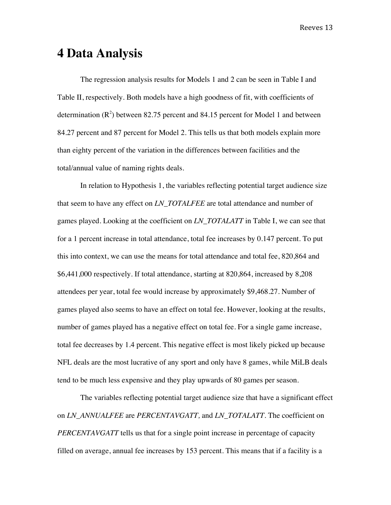# **4 Data Analysis**

The regression analysis results for Models 1 and 2 can be seen in Table I and Table II, respectively. Both models have a high goodness of fit, with coefficients of determination  $(R^2)$  between 82.75 percent and 84.15 percent for Model 1 and between 84.27 percent and 87 percent for Model 2. This tells us that both models explain more than eighty percent of the variation in the differences between facilities and the total/annual value of naming rights deals.

In relation to Hypothesis 1, the variables reflecting potential target audience size that seem to have any effect on *LN\_TOTALFEE* are total attendance and number of games played. Looking at the coefficient on *LN\_TOTALATT* in Table I, we can see that for a 1 percent increase in total attendance, total fee increases by 0.147 percent. To put this into context, we can use the means for total attendance and total fee, 820,864 and \$6,441,000 respectively. If total attendance, starting at 820,864, increased by 8,208 attendees per year, total fee would increase by approximately \$9,468.27. Number of games played also seems to have an effect on total fee. However, looking at the results, number of games played has a negative effect on total fee. For a single game increase, total fee decreases by 1.4 percent. This negative effect is most likely picked up because NFL deals are the most lucrative of any sport and only have 8 games, while MiLB deals tend to be much less expensive and they play upwards of 80 games per season.

The variables reflecting potential target audience size that have a significant effect on *LN\_ANNUALFEE* are *PERCENTAVGATT,* and *LN\_TOTALATT*. The coefficient on *PERCENTAVGATT* tells us that for a single point increase in percentage of capacity filled on average, annual fee increases by 153 percent. This means that if a facility is a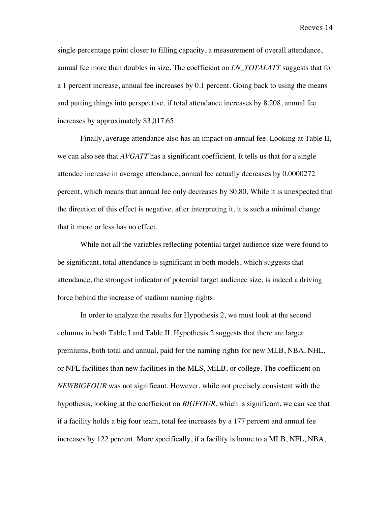single percentage point closer to filling capacity, a measurement of overall attendance, annual fee more than doubles in size. The coefficient on *LN\_TOTALATT* suggests that for a 1 percent increase, annual fee increases by 0.1 percent. Going back to using the means and putting things into perspective, if total attendance increases by 8,208, annual fee increases by approximately \$3,017.65.

Finally, average attendance also has an impact on annual fee. Looking at Table II, we can also see that *AVGATT* has a significant coefficient. It tells us that for a single attendee increase in average attendance, annual fee actually decreases by 0.0000272 percent, which means that annual fee only decreases by \$0.80. While it is unexpected that the direction of this effect is negative, after interpreting it, it is such a minimal change that it more or less has no effect.

While not all the variables reflecting potential target audience size were found to be significant, total attendance is significant in both models, which suggests that attendance, the strongest indicator of potential target audience size, is indeed a driving force behind the increase of stadium naming rights.

In order to analyze the results for Hypothesis 2, we must look at the second columns in both Table I and Table II. Hypothesis 2 suggests that there are larger premiums, both total and annual, paid for the naming rights for new MLB, NBA, NHL, or NFL facilities than new facilities in the MLS, MiLB, or college. The coefficient on *NEWBIGFOUR* was not significant. However, while not precisely consistent with the hypothesis, looking at the coefficient on *BIGFOUR*, which is significant, we can see that if a facility holds a big four team, total fee increases by a 177 percent and annual fee increases by 122 percent. More specifically, if a facility is home to a MLB, NFL, NBA,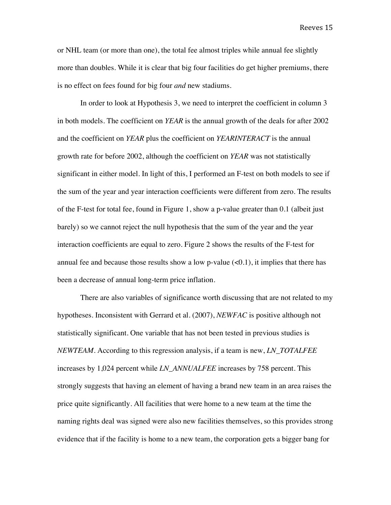or NHL team (or more than one), the total fee almost triples while annual fee slightly more than doubles. While it is clear that big four facilities do get higher premiums, there is no effect on fees found for big four *and* new stadiums.

In order to look at Hypothesis 3, we need to interpret the coefficient in column 3 in both models. The coefficient on *YEAR* is the annual growth of the deals for after 2002 and the coefficient on *YEAR* plus the coefficient on *YEARINTERACT* is the annual growth rate for before 2002, although the coefficient on *YEAR* was not statistically significant in either model. In light of this, I performed an F-test on both models to see if the sum of the year and year interaction coefficients were different from zero. The results of the F-test for total fee, found in Figure 1, show a p-value greater than 0.1 (albeit just barely) so we cannot reject the null hypothesis that the sum of the year and the year interaction coefficients are equal to zero. Figure 2 shows the results of the F-test for annual fee and because those results show a low p-value  $(<0.1$ ), it implies that there has been a decrease of annual long-term price inflation.

There are also variables of significance worth discussing that are not related to my hypotheses. Inconsistent with Gerrard et al. (2007), *NEWFAC* is positive although not statistically significant. One variable that has not been tested in previous studies is *NEWTEAM*. According to this regression analysis, if a team is new, *LN\_TOTALFEE* increases by 1,024 percent while *LN\_ANNUALFEE* increases by 758 percent. This strongly suggests that having an element of having a brand new team in an area raises the price quite significantly. All facilities that were home to a new team at the time the naming rights deal was signed were also new facilities themselves, so this provides strong evidence that if the facility is home to a new team, the corporation gets a bigger bang for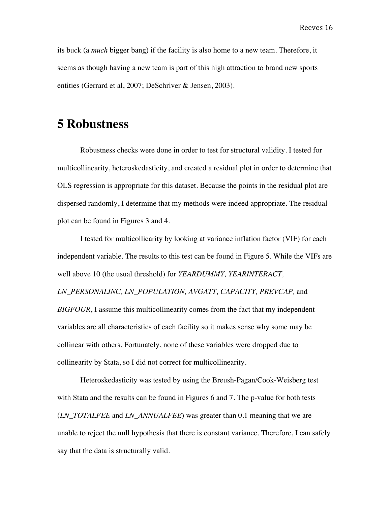its buck (a *much* bigger bang) if the facility is also home to a new team. Therefore, it seems as though having a new team is part of this high attraction to brand new sports entities (Gerrard et al, 2007; DeSchriver & Jensen, 2003).

# **5 Robustness**

Robustness checks were done in order to test for structural validity. I tested for multicollinearity, heteroskedasticity, and created a residual plot in order to determine that OLS regression is appropriate for this dataset. Because the points in the residual plot are dispersed randomly, I determine that my methods were indeed appropriate. The residual plot can be found in Figures 3 and 4.

I tested for multicolliearity by looking at variance inflation factor (VIF) for each independent variable. The results to this test can be found in Figure 5. While the VIFs are well above 10 (the usual threshold) for *YEARDUMMY, YEARINTERACT, LN\_PERSONALINC, LN\_POPULATION, AVGATT, CAPACITY, PREVCAP,* and *BIGFOUR*, I assume this multicollinearity comes from the fact that my independent variables are all characteristics of each facility so it makes sense why some may be collinear with others. Fortunately, none of these variables were dropped due to collinearity by Stata, so I did not correct for multicollinearity.

Heteroskedasticity was tested by using the Breush-Pagan/Cook-Weisberg test with Stata and the results can be found in Figures 6 and 7. The p-value for both tests (*LN\_TOTALFEE* and *LN\_ANNUALFEE*) was greater than 0.1 meaning that we are unable to reject the null hypothesis that there is constant variance. Therefore, I can safely say that the data is structurally valid.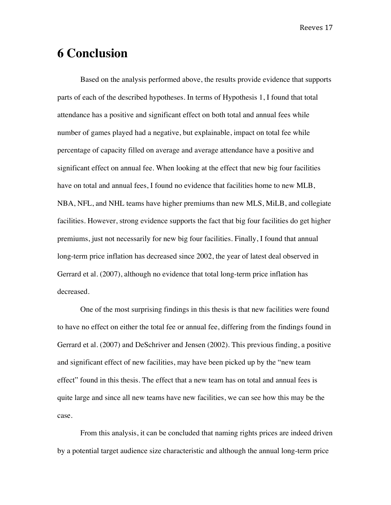# **6 Conclusion**

Based on the analysis performed above, the results provide evidence that supports parts of each of the described hypotheses. In terms of Hypothesis 1, I found that total attendance has a positive and significant effect on both total and annual fees while number of games played had a negative, but explainable, impact on total fee while percentage of capacity filled on average and average attendance have a positive and significant effect on annual fee. When looking at the effect that new big four facilities have on total and annual fees, I found no evidence that facilities home to new MLB, NBA, NFL, and NHL teams have higher premiums than new MLS, MiLB, and collegiate facilities. However, strong evidence supports the fact that big four facilities do get higher premiums, just not necessarily for new big four facilities. Finally, I found that annual long-term price inflation has decreased since 2002, the year of latest deal observed in Gerrard et al. (2007), although no evidence that total long-term price inflation has decreased.

One of the most surprising findings in this thesis is that new facilities were found to have no effect on either the total fee or annual fee, differing from the findings found in Gerrard et al. (2007) and DeSchriver and Jensen (2002). This previous finding, a positive and significant effect of new facilities, may have been picked up by the "new team effect" found in this thesis. The effect that a new team has on total and annual fees is quite large and since all new teams have new facilities, we can see how this may be the case.

From this analysis, it can be concluded that naming rights prices are indeed driven by a potential target audience size characteristic and although the annual long-term price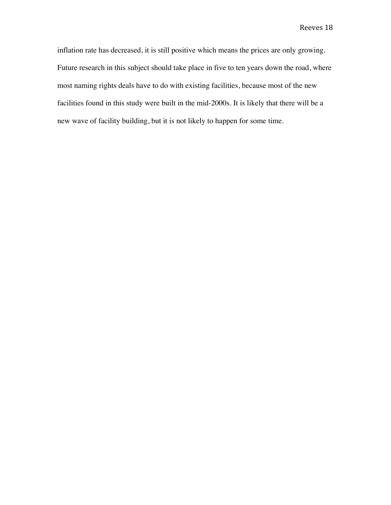inflation rate has decreased, it is still positive which means the prices are only growing. Future research in this subject should take place in five to ten years down the road, where most naming rights deals have to do with existing facilities, because most of the new facilities found in this study were built in the mid-2000s. It is likely that there will be a new wave of facility building, but it is not likely to happen for some time.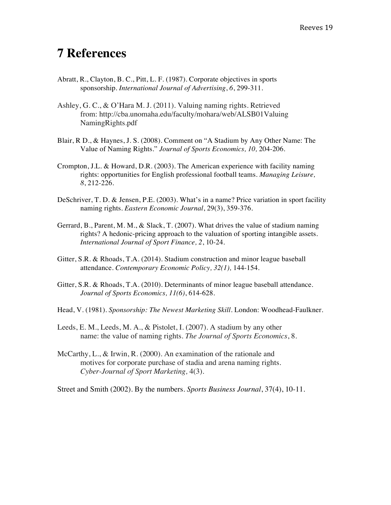# **7 References**

- Abratt, R., Clayton, B. C., Pitt, L. F. (1987). Corporate objectives in sports sponsorship. *International Journal of Advertising*, *6*, 299-311.
- Ashley, G. C., & O'Hara M. J. (2011). Valuing naming rights. Retrieved from: http://cba.unomaha.edu/faculty/mohara/web/ALSB01Valuing NamingRights.pdf
- Blair, R D., & Haynes, J. S. (2008). Comment on "A Stadium by Any Other Name: The Value of Naming Rights." *Journal of Sports Economics, 10,* 204-206.
- Crompton, J.L. & Howard, D.R. (2003). The American experience with facility naming rights: opportunities for English professional football teams. *Managing Leisure, 8*, 212-226.
- DeSchriver, T. D. & Jensen, P.E. (2003). What's in a name? Price variation in sport facility naming rights. *Eastern Economic Journal*, 29(3), 359-376.
- Gerrard, B., Parent, M. M., & Slack, T. (2007). What drives the value of stadium naming rights? A hedonic-pricing approach to the valuation of sporting intangible assets. *International Journal of Sport Finance, 2*, 10-24.
- Gitter, S.R. & Rhoads, T.A. (2014). Stadium construction and minor league baseball attendance. *Contemporary Economic Policy, 32(1),* 144-154.
- Gitter, S.R. & Rhoads, T.A. (2010). Determinants of minor league baseball attendance. *Journal of Sports Economics, 11(6)*, 614-628.
- Head, V. (1981). *Sponsorship: The Newest Marketing Skill*. London: Woodhead-Faulkner.
- Leeds, E. M., Leeds, M. A., & Pistolet, I. (2007). A stadium by any other name: the value of naming rights. *The Journal of Sports Economics*, 8.
- McCarthy, L., & Irwin, R. (2000). An examination of the rationale and motives for corporate purchase of stadia and arena naming rights. *Cyber-Journal of Sport Marketing,* 4(3).

Street and Smith (2002). By the numbers. *Sports Business Journal*, 37(4), 10-11.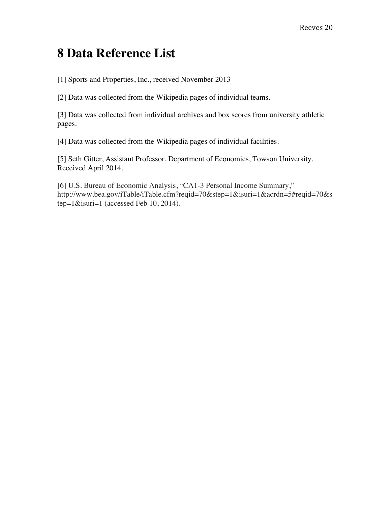# **8 Data Reference List**

[1] Sports and Properties, Inc., received November 2013

[2] Data was collected from the Wikipedia pages of individual teams.

[3] Data was collected from individual archives and box scores from university athletic pages.

[4] Data was collected from the Wikipedia pages of individual facilities.

[5] Seth Gitter, Assistant Professor, Department of Economics, Towson University. Received April 2014.

[6] U.S. Bureau of Economic Analysis, "CA1-3 Personal Income Summary," http://www.bea.gov/iTable/iTable.cfm?reqid=70&step=1&isuri=1&acrdn=5#reqid=70&s tep=1&isuri=1 (accessed Feb 10, 2014).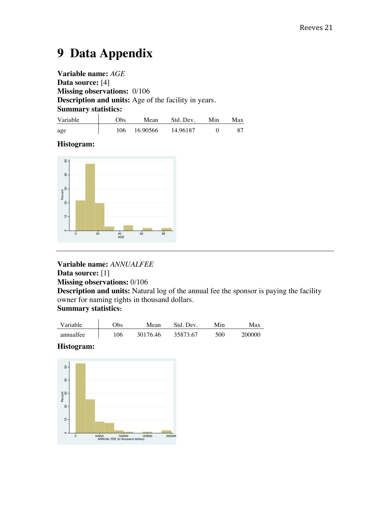# **9 Data Appendix**

**Variable name:** *AGE*  **Data source:** [4] **Missing observations:** 0/106 **Description and units:** Age of the facility in years. **Summary statistics:** 

| Variable | 7bs. | Mean     | Std. Dev. | Min | Max |
|----------|------|----------|-----------|-----|-----|
| age      | 106  | 16.90566 | 14.96187  |     |     |

#### **Histogram:**



#### **Variable name:** *ANNUALFEE* **Data source:** [1]

**Missing observations:** 0/106

**Description and units:** Natural log of the annual fee the sponsor is paying the facility owner for naming rights in thousand dollars.

### **Summary statistics:**

| Variable  | )bs | Mean     | Std. Dev. | Min | Max    |
|-----------|-----|----------|-----------|-----|--------|
| annualfee | '06 | 30176 46 | 35873.67  | 500 | 200000 |

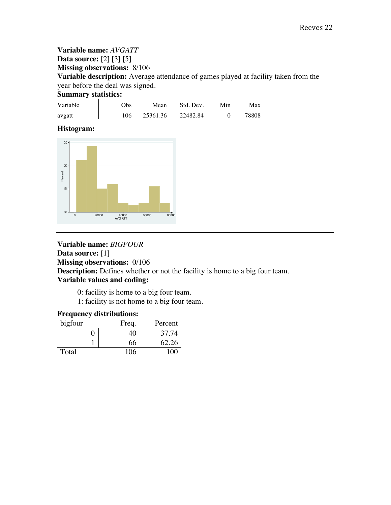**Variable name:** *AVGATT* **Data source:** [2] [3] [5] **Missing observations:** 8/106 **Variable description:** Average attendance of games played at facility taken from the year before the deal was signed.

#### **Summary statistics:**

| Variable | ()bs | Mean     | Std. Dev. | Min | Max   |
|----------|------|----------|-----------|-----|-------|
| avgatt   | 106  | 25361.36 | 22482.84  |     | 78808 |

#### **Histogram:**



## **Variable name:** *BIGFOUR* **Data source:** [1] **Missing observations:** 0/106 **Description:** Defines whether or not the facility is home to a big four team. **Variable values and coding:**

0: facility is home to a big four team.

1: facility is not home to a big four team.

### **Frequency distributions:**

| bigfour | Freq. | Percent |
|---------|-------|---------|
|         | 40    | 37.74   |
|         | 66    | 62.26   |
| Total   | 106   | 100     |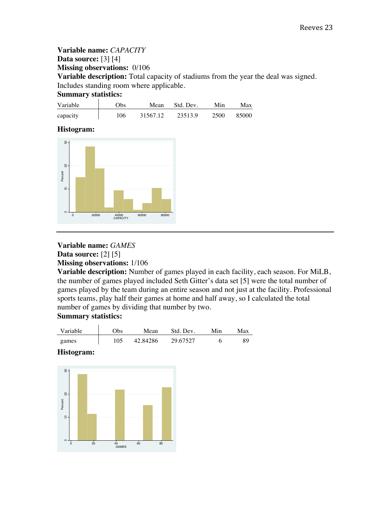**Variable name:** *CAPACITY* **Data source:** [3] [4] **Missing observations:** 0/106 **Variable description:** Total capacity of stadiums from the year the deal was signed. Includes standing room where applicable.

#### **Summary statistics:**

| Variable | Эbs | Mean     | Std. Dev. | Min  | Max   |
|----------|-----|----------|-----------|------|-------|
| capacity | 106 | 31567.12 | 23513.9   | 2500 | 85000 |

#### **Histogram:**



# **Variable name:** *GAMES* **Data source:** [2] [5]

#### **Missing observations:** 1/106

**Variable description:** Number of games played in each facility, each season. For MiLB, the number of games played included Seth Gitter's data set [5] were the total number of games played by the team during an entire season and not just at the facility. Professional sports teams, play half their games at home and half away, so I calculated the total number of games by dividing that number by two.

#### **Summary statistics:**

| Variable | )bs | Mean     | Std. Dev. | Min | Max |
|----------|-----|----------|-----------|-----|-----|
| games    | 105 | 42.84286 | 29.67527  |     | 89  |

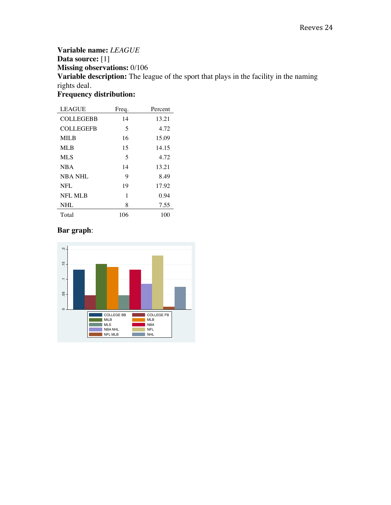## **Variable name:** *LEAGUE* **Data source:** [1] **Missing observations:** 0/106 **Variable description:** The league of the sport that plays in the facility in the naming rights deal. **Frequency distribution:**

| <b>LEAGUE</b>    | Freq. | Percent |
|------------------|-------|---------|
| <b>COLLEGEBB</b> | 14    | 13.21   |
| <b>COLLEGEFB</b> | 5     | 4.72    |
| MILB             | 16    | 15.09   |
| ML B             | 15    | 14.15   |
| <b>MLS</b>       | 5     | 4.72    |
| <b>NBA</b>       | 14    | 13.21   |
| <b>NBA NHL</b>   | 9     | 8.49    |
| NFL              | 19    | 17.92   |
| <b>NFL MLB</b>   | 1     | 0.94    |
| NHL              | 8     | 7.55    |
| Total            | 106   | 100     |

## **Bar graph**:

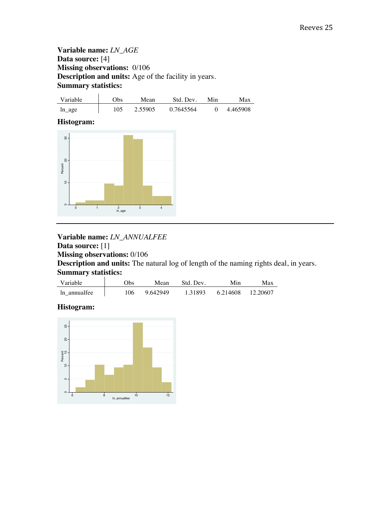### **Variable name:** *LN\_AGE* **Data source:** [4] **Missing observations:** 0/106 **Description and units:** Age of the facility in years. **Summary statistics:**

| Variable  | )bs | Mean  | Std. Dev. | Min | Max      |
|-----------|-----|-------|-----------|-----|----------|
| $ln\_age$ | 105 | 55905 | 0.7645564 |     | 4.465908 |

#### **Histogram:**



**Variable name:** *LN\_ANNUALFEE* **Data source:** [1] **Missing observations:** 0/106 **Description and units:** The natural log of length of the naming rights deal, in years. **Summary statistics:**

| Variable     | )bs | Mean    | Std. Dev. |          | Max      |
|--------------|-----|---------|-----------|----------|----------|
| In annualfee | '06 | 9642949 | 1.31893   | 6.214608 | 12.20607 |

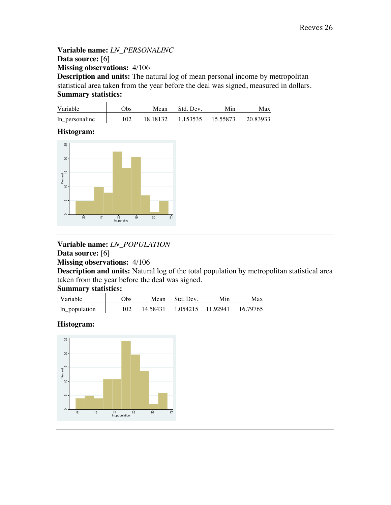**Variable name:** *LN\_PERSONALINC* **Data source:** [6] **Missing observations:** 4/106 **Description and units:** The natural log of mean personal income by metropolitan statistical area taken from the year before the deal was signed, measured in dollars. **Summary statistics:**

| Variable       | Obs | Mean | Std. Dev.                  | Min | Max      |
|----------------|-----|------|----------------------------|-----|----------|
| ln_personalinc | 102 |      | 18.18132 1.153535 15.55873 |     | 20.83933 |

**Histogram:**



**Variable name:** *LN\_POPULATION* **Data source:** [6]

**Missing observations:** 4/106

**Description and units:** Natural log of the total population by metropolitan statistical area taken from the year before the deal was signed.

**Summary statistics:** 

| Variable      | Obs. | Mean Std. Dev.                   | Min | Max      |
|---------------|------|----------------------------------|-----|----------|
| ln_population | 102  | 14.58431    1.054215    11.92941 |     | 16.79765 |

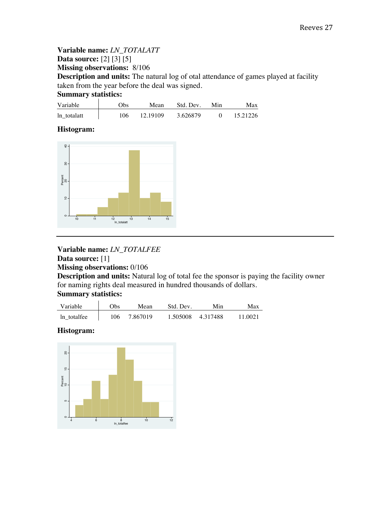**Variable name:** *LN\_TOTALATT* **Data source:** [2] [3] [5] **Missing observations:** 8/106 **Description and units:** The natural log of otal attendance of games played at facility taken from the year before the deal was signed. **Summary statistics:**

| Variable    | Obs | Mean     | Std. Dev. | Min | Max      |
|-------------|-----|----------|-----------|-----|----------|
| ln totalatt | 106 | 12.19109 | 3.626879  |     | 15.21226 |

#### **Histogram:**



# **Variable name:** *LN\_TOTALFEE*

**Data source:** [1] **Missing observations:** 0/106

**Description and units:** Natural log of total fee the sponsor is paying the facility owner for naming rights deal measured in hundred thousands of dollars.

#### **Summary statistics:**

| Variable    | Obs. | Mean     | Std. Dev. | Min      | Max     |
|-------------|------|----------|-----------|----------|---------|
| In totalfee | 106  | 7.867019 | 1.505008  | 4.317488 | 11 0021 |

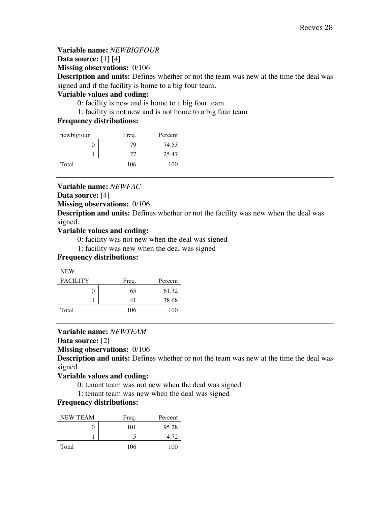#### **Variable name:** *NEWBIGFOUR*

**Data source:** [1] [4]

**Missing observations:** 0/106

**Description and units:** Defines whether or not the team was new at the time the deal was signed and if the facility is home to a big four team.

#### **Variable values and coding:**

0: facility is new and is home to a big four team

1: facility is not new and is not home to a big four team

#### **Frequency distributions:**

| newbigfour | Freq. | Percent |
|------------|-------|---------|
|            | 79    | 74.53   |
|            | 27    | 25.47   |
| Total      | 106   | 100     |

**Variable name:** *NEWFAC*

**Data source:** [4]

**Missing observations:** 0/106

**Description and units:** Defines whether or not the facility was new when the deal was signed.

#### **Variable values and coding:**

0: facility was not new when the deal was signed

1: facility was new when the deal was signed

#### **Frequency distributions:**

|--|

| <b>FACILITY</b> | Freq. | Percent |
|-----------------|-------|---------|
|                 | 65    | 61.32   |
|                 | 41    | 38.68   |
| Total           | 106   | 100     |

### **Variable name:** *NEWTEAM*

#### **Data source:** [2]

**Missing observations:** 0/106

**Description and units:** Defines whether or not the team was new at the time the deal was signed.

#### **Variable values and coding:**

0: tenant team was not new when the deal was signed

1: tenant team was new when the deal was signed

#### **Frequency distributions:**

| <b>NEW TEAM</b> | Freq. | Percent |
|-----------------|-------|---------|
|                 | 101   | 95.28   |
|                 |       | 4.72    |
| Total           | 106   | 100     |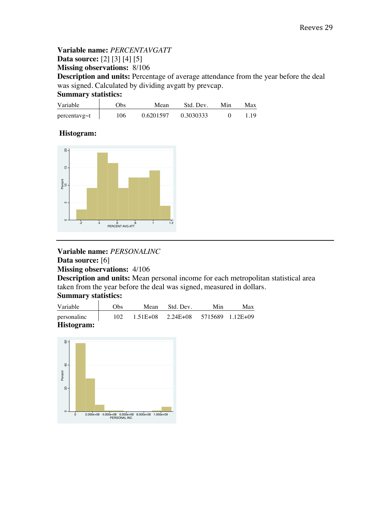## **Variable name:** *PERCENTAVGATT* **Data source:** [2] [3] [4] [5] **Missing observations:** 8/106

**Description and units:** Percentage of average attendance from the year before the deal was signed. Calculated by dividing avgatt by prevcap.

**Summary statistics:** 

| Variable            | )bs | Mean      | Std. Dev. | Min | Max |
|---------------------|-----|-----------|-----------|-----|-----|
| $percentavg \sim t$ | 106 | 0.6201597 | 0.3030333 |     |     |

## **Histogram:**



**Variable name:** *PERSONALINC*

**Data source:** [6]

**Missing observations:** 4/106

**Description and units:** Mean personal income for each metropolitan statistical area taken from the year before the deal was signed, measured in dollars.

### **Summary statistics:**

| Variable    | <b>Obs</b> | Mean | Std. Dev.                                  | Min | Max |
|-------------|------------|------|--------------------------------------------|-----|-----|
| personalinc | 102        |      | $1.51E+08$ $2.24E+08$ $5715689$ $1.12E+09$ |     |     |
| Histogram:  |            |      |                                            |     |     |

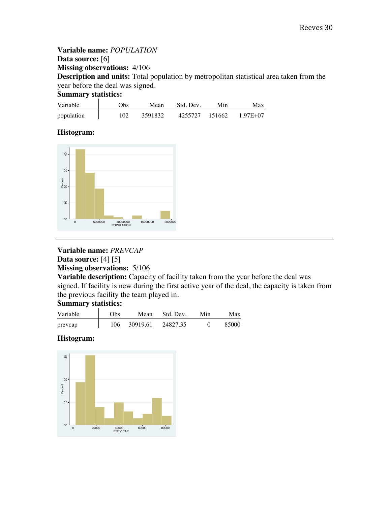**Variable name:** *POPULATION* **Data source:** [6] **Missing observations:** 4/106 **Description and units:** Total population by metropolitan statistical area taken from the year before the deal was signed. **Summary statistics:**

| Variable   | Obs. | Mean    | Std. Dev.      | Min. | Max      |
|------------|------|---------|----------------|------|----------|
| population | 102  | 3591832 | 4255727 151662 |      | 1 97E+07 |

### **Histogram:**



## **Variable name:** *PREVCAP* **Data source:** [4] [5]

**Missing observations:** 5/106

**Variable description:** Capacity of facility taken from the year before the deal was signed. If facility is new during the first active year of the deal, the capacity is taken from the previous facility the team played in.

## **Summary statistics:**

| Variable | Obs | Mean     | Std. Dev. | Min | Max   |
|----------|-----|----------|-----------|-----|-------|
| prevcap  | 106 | 30919.61 | 24827.35  |     | 85000 |

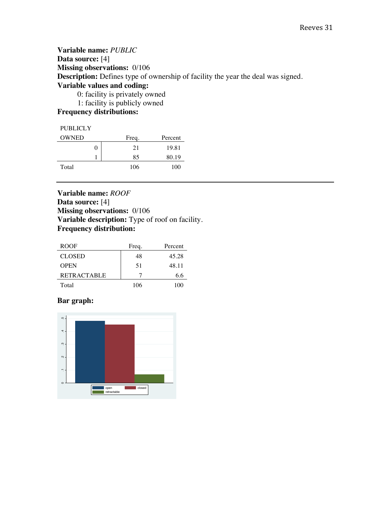#### **Variable name:** *PUBLIC* **Data source:** [4] **Missing observations:** 0/106 **Description:** Defines type of ownership of facility the year the deal was signed. **Variable values and coding:** 0: facility is privately owned 1: facility is publicly owned

#### **Frequency distributions:**

#### **PUBLICLY**

| <b>OWNED</b> | Freq. | Percent |
|--------------|-------|---------|
| 0            | 21    | 19.81   |
|              | 85    | 80.19   |
| Total        | 106   | 100     |

**Variable name:** *ROOF* **Data source:** [4] **Missing observations:** 0/106 **Variable description:** Type of roof on facility. **Frequency distribution:**

| ROOF.              | Freq. | Percent |
|--------------------|-------|---------|
| <b>CLOSED</b>      | 48    | 45.28   |
| <b>OPEN</b>        | 51    | 48.11   |
| <b>RETRACTABLE</b> |       | 6.6     |
| Total              | 106   | 100     |

#### **Bar graph:**

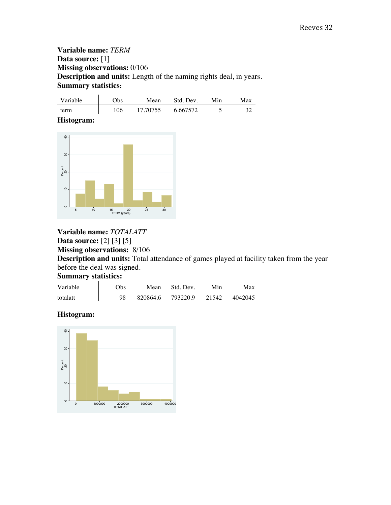**Variable name:** *TERM* **Data source:** [1] **Missing observations:** 0/106 **Description and units:** Length of the naming rights deal, in years. **Summary statistics:** 

| Variable | <b>Obs</b> | Mean     | Std. Dev. | Min | Max |
|----------|------------|----------|-----------|-----|-----|
| term     | 106        | 17 70755 | 6.667572  |     |     |

#### **Histogram:**



# **Variable name:** *TOTALATT* **Data source:** [2] [3] [5]

**Missing observations:** 8/106

**Description and units:** Total attendance of games played at facility taken from the year before the deal was signed.

#### **Summary statistics:**

| Variable | .)bs | Mean     | Std. Dev. | Min   | Max     |
|----------|------|----------|-----------|-------|---------|
| totalatt | 98   | 820864.6 | 793220.9  | 21542 | 4042045 |

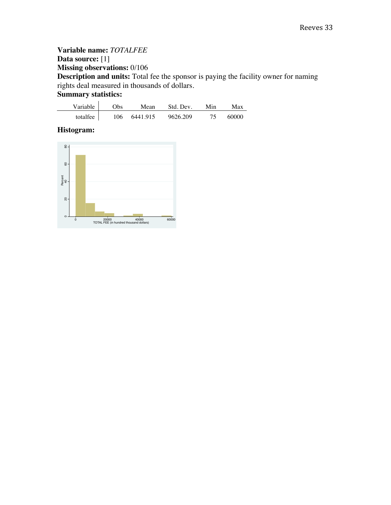**Variable name:** *TOTALFEE*  **Data source:** [1] **Missing observations:** 0/106 **Description and units:** Total fee the sponsor is paying the facility owner for naming rights deal measured in thousands of dollars. **Summary statistics:** 

| Variable | <b>Obs</b> | Mean     | Std. Dev. | Min | Max   |
|----------|------------|----------|-----------|-----|-------|
| totalfee | 106        | 6441.915 | 9626.209  | 75  | 60000 |

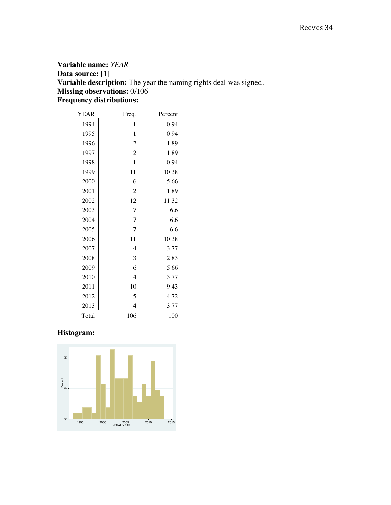### **Variable name:** *YEAR*  **Data source:** [1] **Variable description:** The year the naming rights deal was signed. **Missing observations:** 0/106 **Frequency distributions:**

| <b>YEAR</b> | Freq.            | Percent |
|-------------|------------------|---------|
| 1994        | $\mathbf{1}$     | 0.94    |
| 1995        | $\mathbf{1}$     | 0.94    |
| 1996        | $\overline{c}$   | 1.89    |
| 1997        | $\boldsymbol{2}$ | 1.89    |
| 1998        | $\mathbf{1}$     | 0.94    |
| 1999        | 11               | 10.38   |
| 2000        | 6                | 5.66    |
| 2001        | $\overline{c}$   | 1.89    |
| 2002        | 12               | 11.32   |
| 2003        | 7                | 6.6     |
| 2004        | $\overline{7}$   | 6.6     |
| 2005        | $\overline{7}$   | 6.6     |
| 2006        | 11               | 10.38   |
| 2007        | $\overline{4}$   | 3.77    |
| 2008        | 3                | 2.83    |
| 2009        | 6                | 5.66    |
| 2010        | $\overline{4}$   | 3.77    |
| 2011        | 10               | 9.43    |
| 2012        | 5                | 4.72    |
| 2013        | $\overline{4}$   | 3.77    |
| Total       | 106              | 100     |

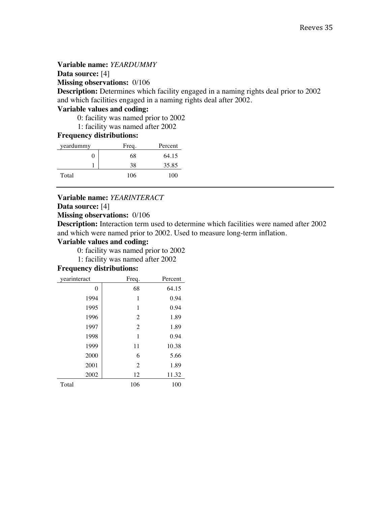#### **Variable name:** *YEARDUMMY*

#### **Data source:** [4]

**Missing observations:** 0/106

**Description:** Determines which facility engaged in a naming rights deal prior to 2002 and which facilities engaged in a naming rights deal after 2002.

#### **Variable values and coding:**

0: facility was named prior to 2002

1: facility was named after 2002

#### **Frequency distributions:**

| yeardummy | Freq. | Percent |
|-----------|-------|---------|
|           | 68    | 64.15   |
|           | 38    | 35.85   |
| Total     | 106   | 100     |

#### **Variable name:** *YEARINTERACT*

#### **Data source:** [4]

#### **Missing observations:** 0/106

**Description:** Interaction term used to determine which facilities were named after 2002 and which were named prior to 2002. Used to measure long-term inflation.

#### **Variable values and coding:**

0: facility was named prior to 2002

1: facility was named after 2002

#### **Frequency distributions:**

| yearinteract | Freq.          | Percent |
|--------------|----------------|---------|
| 0            | 68             | 64.15   |
| 1994         | 1              | 0.94    |
| 1995         | 1              | 0.94    |
| 1996         | 2              | 1.89    |
| 1997         | 2              | 1.89    |
| 1998         | 1              | 0.94    |
| 1999         | 11             | 10.38   |
| 2000         | 6              | 5.66    |
| 2001         | $\overline{2}$ | 1.89    |
| 2002         | 12             | 11.32   |
| Total        | 106            | 100     |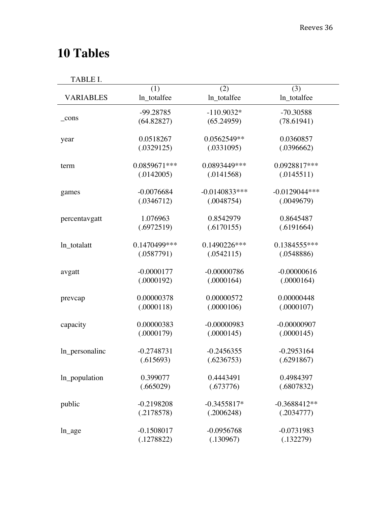# **10 Tables**

TABLE I.

|                  | (1)          | (2)             | (3)             |
|------------------|--------------|-----------------|-----------------|
| <b>VARIABLES</b> | ln_totalfee  | ln_totalfee     | ln_totalfee     |
|                  | -99.28785    | $-110.9032*$    | $-70.30588$     |
| $_{\rm cons}$    | (64.82827)   | (65.24959)      | (78.61941)      |
| year             | 0.0518267    | 0.0562549**     | 0.0360857       |
|                  | (.0329125)   | (.0331095)      | (.0396662)      |
| term             | 0.0859671*** | 0.0893449***    | 0.0928817***    |
|                  | (.0142005)   | (.0141568)      | (.0145511)      |
| games            | $-0.0076684$ | $-0.0140833***$ | $-0.0129044***$ |
|                  | (.0346712)   | (.0048754)      | (.0049679)      |
| percentavgatt    | 1.076963     | 0.8542979       | 0.8645487       |
|                  | (.6972519)   | (.6170155)      | (.6191664)      |
| ln_totalatt      | 0.1470499*** | 0.1490226***    | $0.1384555***$  |
|                  | (.0587791)   | (.0542115)      | (.0548886)      |
| avgatt           | $-0.0000177$ | $-0.00000786$   | $-0.00000616$   |
|                  | (.0000192)   | (.0000164)      | (.0000164)      |
| prevcap          | 0.00000378   | 0.00000572      | 0.00000448      |
|                  | (.0000118)   | (.0000106)      | (.0000107)      |
| capacity         | 0.00000383   | $-0.00000983$   | $-0.00000907$   |
|                  | (.0000179)   | (.0000145)      | (.0000145)      |
| ln_personalinc   | $-0.2748731$ | $-0.2456355$    | $-0.2953164$    |
|                  | (.615693)    | (.6236753)      | (.6291867)      |
| ln_population    | 0.399077     | 0.4443491       | 0.4984397       |
|                  | (.665029)    | (.673776)       | (.6807832)      |
| public           | $-0.2198208$ | $-0.3455817*$   | $-0.3688412**$  |
|                  | (.2178578)   | (.2006248)      | (.2034777)      |
| $ln\_{age}$      | $-0.1508017$ | $-0.0956768$    | $-0.0731983$    |
|                  | (.1278822)   | (.130967)       | (.132279)       |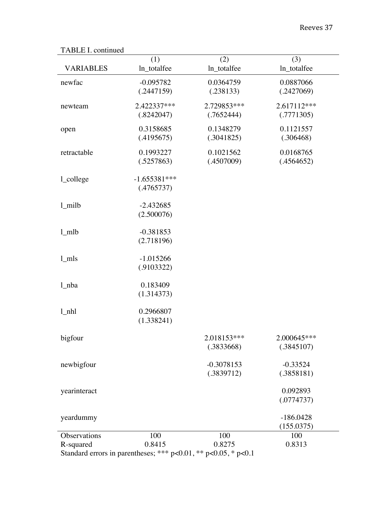# TABLE I. continued

| R-squared           | Standard errors in parentheses; *** $p<0.01$ , ** $p<0.05$ , * $p<0.1$ |                            |                           |
|---------------------|------------------------------------------------------------------------|----------------------------|---------------------------|
| Observations        | 100<br>0.8415                                                          | 100<br>0.8275              | 100<br>0.8313             |
| yeardummy           |                                                                        |                            | $-186.0428$<br>(155.0375) |
| yearinteract        |                                                                        |                            | 0.092893<br>(.0774737)    |
| newbigfour          |                                                                        | $-0.3078153$<br>(.3839712) | $-0.33524$<br>(.3858181)  |
| bigfour             |                                                                        | 2.018153***<br>(.3833668)  | 2.000645***<br>(.3845107) |
| $1_{nh}$            | 0.2966807<br>(1.338241)                                                |                            |                           |
| $1$ <sub>nba</sub>  | 0.183409<br>(1.314373)                                                 |                            |                           |
| $1$ mls             | $-1.015266$<br>(.9103322)                                              |                            |                           |
| $1$ mlb             | $-0.381853$<br>(2.718196)                                              |                            |                           |
| $1$ <sub>milb</sub> | $-2.432685$<br>(2.500076)                                              |                            |                           |
| 1_college           | $-1.655381***$<br>(.4765737)                                           |                            |                           |
| retractable         | 0.1993227<br>(.5257863)                                                | 0.1021562<br>(.4507009)    | 0.0168765<br>(.4564652)   |
| open                | 0.3158685<br>(.4195675)                                                | 0.1348279<br>(.3041825)    | 0.1121557<br>(.306468)    |
| newteam             | 2.422337***<br>(.8242047)                                              | 2.729853***<br>(.7652444)  | 2.617112***<br>(.7771305) |
| newfac              | $-0.095782$<br>(.2447159)                                              | 0.0364759<br>(.238133)     | 0.0887066<br>(.2427069)   |
| <b>VARIABLES</b>    | (1)<br>ln_totalfee                                                     | (2)<br>ln_totalfee         | (3)<br>ln_totalfee        |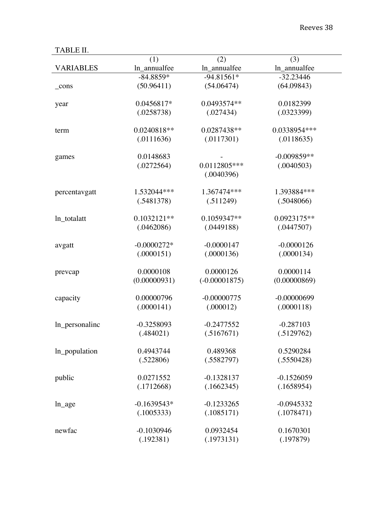TABLE II.

| TYDFF II'        |               |                 |               |
|------------------|---------------|-----------------|---------------|
|                  | (1)           | (2)             | (3)           |
| <b>VARIABLES</b> | ln_annualfee  | ln_annualfee    | ln_annualfee  |
|                  | $-84.8859*$   | $-94.81561*$    | $-32.23446$   |
| _cons            | (50.96411)    | (54.06474)      | (64.09843)    |
|                  |               |                 |               |
| year             | 0.0456817*    | 0.0493574**     | 0.0182399     |
|                  | (.0258738)    | (.027434)       | (.0323399)    |
|                  |               |                 |               |
| term             | 0.0240818**   | 0.0287438**     | 0.0338954***  |
|                  | (.0111636)    | (.0117301)      | (.0118635)    |
| games            | 0.0148683     |                 | $-0.009859**$ |
|                  | (.0272564)    | 0.0112805***    | (.0040503)    |
|                  |               | (.0040396)      |               |
|                  |               |                 |               |
| percentavgatt    | 1.532044***   | 1.367474***     | 1.393884***   |
|                  | (.5481378)    | (.511249)       | (.5048066)    |
|                  |               |                 |               |
| ln_totalatt      | $0.1032121**$ | 0.1059347**     | 0.0923175**   |
|                  | (.0462086)    | (.0449188)      | (.0447507)    |
|                  | $-0.0000272*$ | $-0.0000147$    | $-0.0000126$  |
| avgatt           | (.0000151)    | (.0000136)      | (.0000134)    |
|                  |               |                 |               |
| prevcap          | 0.0000108     | 0.0000126       | 0.0000114     |
|                  | (0.00000931)  | $(-0.00001875)$ | (0.00000869)  |
|                  |               |                 |               |
| capacity         | 0.00000796    | $-0.00000775$   | $-0.00000699$ |
|                  | (.0000141)    | (.000012)       | (.0000118)    |
|                  |               |                 |               |
| ln_personalinc   | $-0.3258093$  | $-0.2477552$    | $-0.287103$   |
|                  | (.484021)     | (.5167671)      | (.5129762)    |
| ln_population    | 0.4943744     | 0.489368        | 0.5290284     |
|                  | (.522806)     | (.5582797)      | (.5550428)    |
|                  |               |                 |               |
| public           | 0.0271552     | $-0.1328137$    | $-0.1526059$  |
|                  | (.1712668)    | (.1662345)      | (.1658954)    |
|                  |               |                 |               |
| $ln\_{age}$      | $-0.1639543*$ | $-0.1233265$    | $-0.0945332$  |
|                  | (.1005333)    | (.1085171)      | (.1078471)    |
|                  |               |                 |               |
| newfac           | $-0.1030946$  | 0.0932454       | 0.1670301     |
|                  | (.192381)     | (.1973131)      | (.197879)     |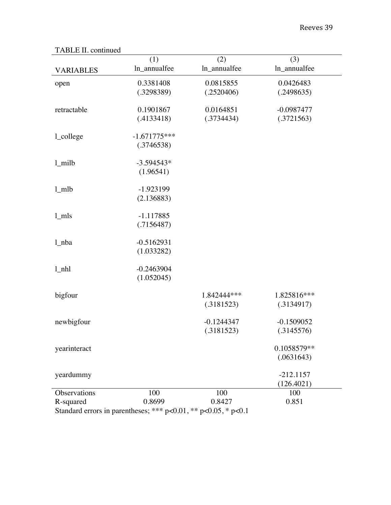| <b>VARIABLES</b>          | (1)<br>ln_annualfee          | (2)<br>ln_annualfee        | (3)<br>ln_annualfee        |
|---------------------------|------------------------------|----------------------------|----------------------------|
| open                      | 0.3381408<br>(.3298389)      | 0.0815855<br>(.2520406)    | 0.0426483<br>(.2498635)    |
| retractable               | 0.1901867<br>(.4133418)      | 0.0164851<br>(.3734434)    | $-0.0987477$<br>(.3721563) |
| l_college                 | $-1.671775***$<br>(.3746538) |                            |                            |
| 1_milb                    | $-3.594543*$<br>(1.96541)    |                            |                            |
| $1$ <sub>mlb</sub>        | $-1.923199$<br>(2.136883)    |                            |                            |
| $1$ <sub>mls</sub>        | $-1.117885$<br>(.7156487)    |                            |                            |
| $ln$ ba                   | $-0.5162931$<br>(1.033282)   |                            |                            |
| $1_{nh}$                  | $-0.2463904$<br>(1.052045)   |                            |                            |
| bigfour                   |                              | 1.842444***<br>(.3181523)  | 1.825816***<br>(.3134917)  |
| newbigfour                |                              | $-0.1244347$<br>(.3181523) | $-0.1509052$<br>(.3145576) |
| yearinteract              |                              |                            | 0.1058579**<br>(.0631643)  |
| yeardummy                 |                              |                            | $-212.1157$<br>(126.4021)  |
| Observations<br>R-squared | 100<br>0.8699                | 100<br>0.8427              | 100<br>0.851               |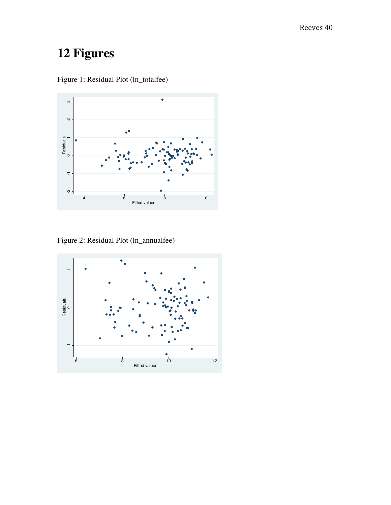# **12 Figures**



Figure 1: Residual Plot (ln\_totalfee)

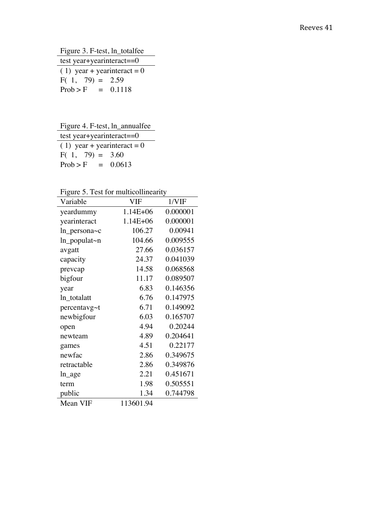Figure 3. F-test, ln\_totalfee

| test year+yearinteract= $=0$   |  |  |  |
|--------------------------------|--|--|--|
| $(1)$ year + year interact = 0 |  |  |  |
| $F(1, 79) = 2.59$              |  |  |  |
| $Prob > F = 0.1118$            |  |  |  |

Figure 4. F-test, ln\_annualfee

| test year+yearinteract= $=0$   |        |  |
|--------------------------------|--------|--|
| $(1)$ year + year interact = 0 |        |  |
| $F(1, 79) = 3.60$              |        |  |
| $Prob > F =$                   | 0.0613 |  |

Figure 5. Test for multicollinearity

| Variable              | VIF          | 1/VIF    |
|-----------------------|--------------|----------|
| yeardummy             | $1.14E + 06$ | 0.000001 |
| yearinteract          | $1.14E + 06$ | 0.000001 |
| $ln$ persona $\sim$ c | 106.27       | 0.00941  |
| ln_populat~n          | 104.66       | 0.009555 |
| avgatt                | 27.66        | 0.036157 |
| capacity              | 24.37        | 0.041039 |
| prevcap               | 14.58        | 0.068568 |
| bigfour               | 11.17        | 0.089507 |
| year                  | 6.83         | 0.146356 |
| ln_totalatt           | 6.76         | 0.147975 |
| percentavg~t          | 6.71         | 0.149092 |
| newbigfour            | 6.03         | 0.165707 |
| open                  | 4.94         | 0.20244  |
| newteam               | 4.89         | 0.204641 |
| games                 | 4.51         | 0.22177  |
| newfac                | 2.86         | 0.349675 |
| retractable           | 2.86         | 0.349876 |
| ln_age                | 2.21         | 0.451671 |
| term                  | 1.98         | 0.505551 |
| public                | 1.34         | 0.744798 |
| Mean VIF              | 113601.94    |          |